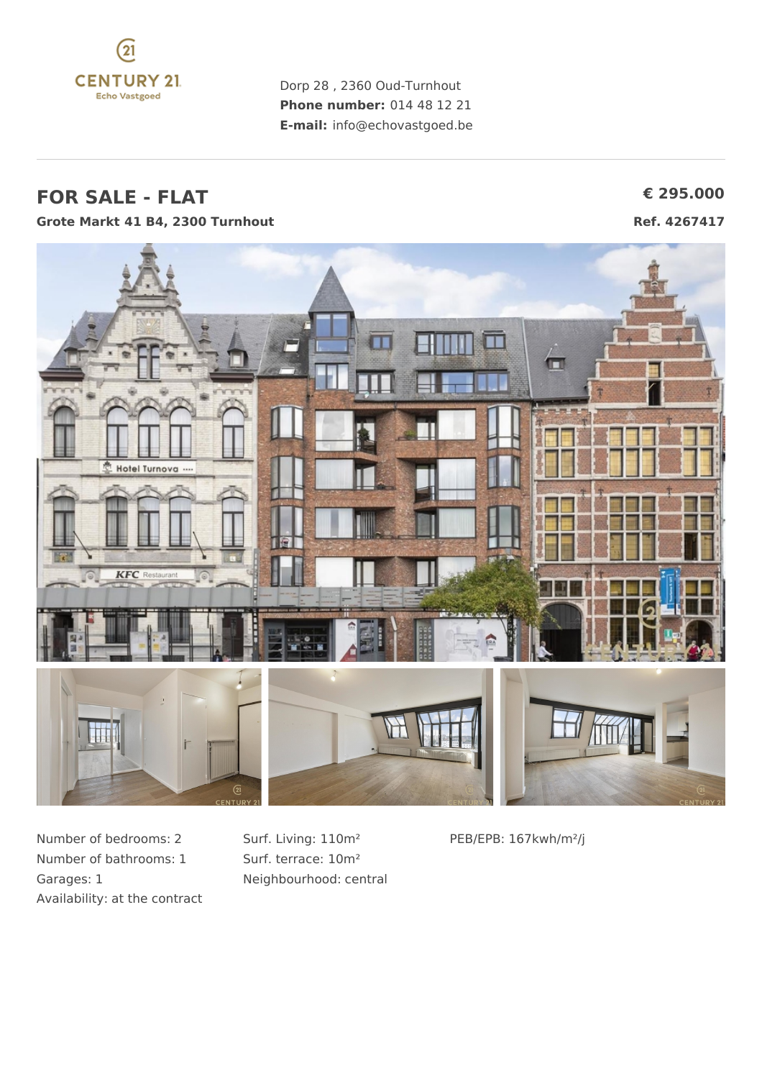

Dorp 28 , 2360 Oud-Turnhout **Phone number:** 014 48 12 21 **E-mail:** info@echovastgoed.be

#### **FOR SALE - FLAT € 295.000 Grote Markt 41 B4, 2300 Turnhout Ref. 4267417**



Number of bedrooms: 2 Number of bathrooms: 1 Garages: 1 Availability: at the contract Surf. Living: 110m² Surf. terrace: 10m² Neighbourhood: central PEB/EPB: 167kwh/m²/j